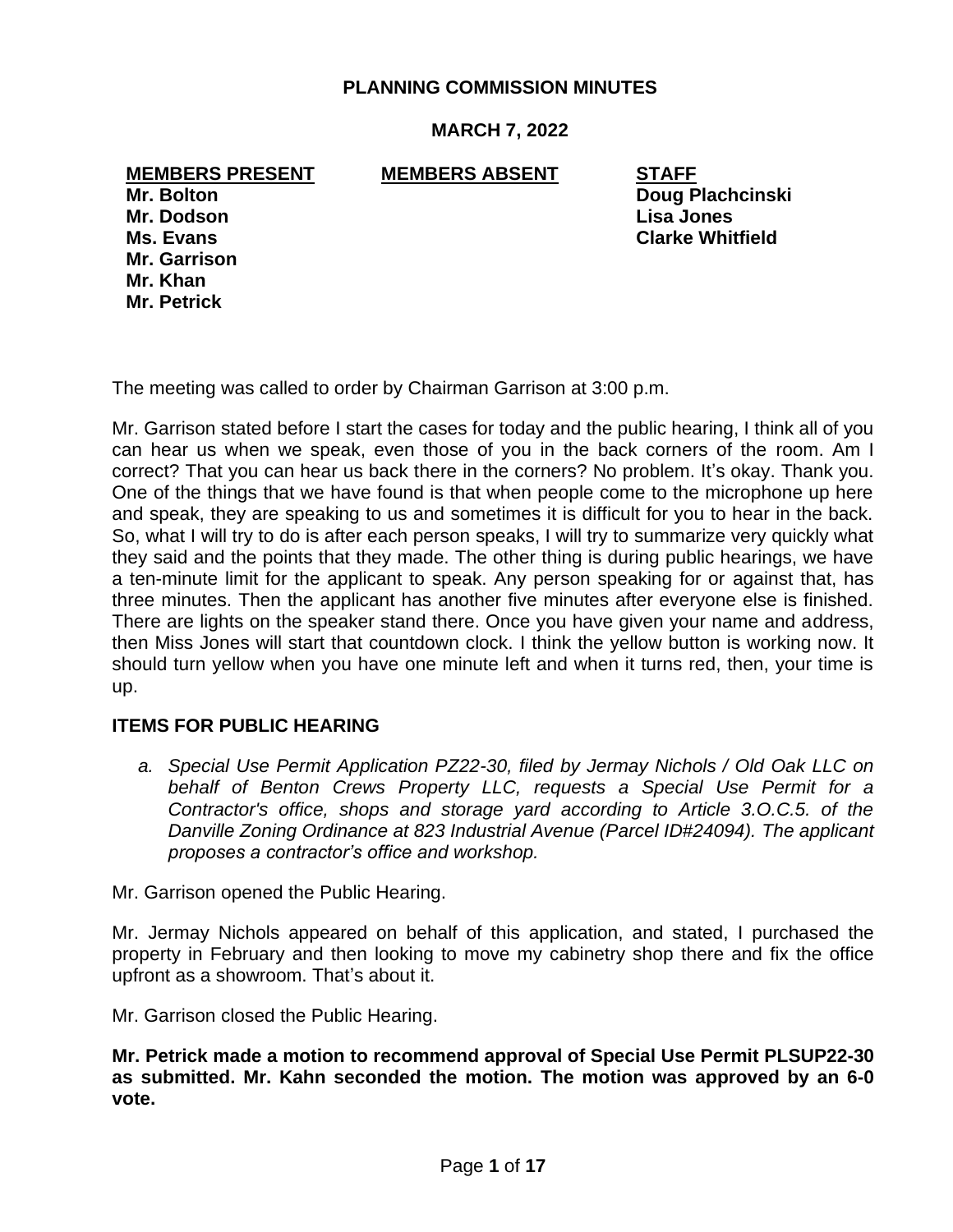## **PLANNING COMMISSION MINUTES**

## **MARCH 7, 2022**

## **MEMBERS PRESENT MEMBERS ABSENT STAFF**

**Mr. Dodson Lisa Jones Mr. Garrison Mr. Khan Mr. Petrick**

**Mr. Bolton Doug Plachcinski Ms. Evans Clarke Whitfield**

The meeting was called to order by Chairman Garrison at 3:00 p.m.

Mr. Garrison stated before I start the cases for today and the public hearing, I think all of you can hear us when we speak, even those of you in the back corners of the room. Am I correct? That you can hear us back there in the corners? No problem. It's okay. Thank you. One of the things that we have found is that when people come to the microphone up here and speak, they are speaking to us and sometimes it is difficult for you to hear in the back. So, what I will try to do is after each person speaks, I will try to summarize very quickly what they said and the points that they made. The other thing is during public hearings, we have a ten-minute limit for the applicant to speak. Any person speaking for or against that, has three minutes. Then the applicant has another five minutes after everyone else is finished. There are lights on the speaker stand there. Once you have given your name and address, then Miss Jones will start that countdown clock. I think the yellow button is working now. It should turn yellow when you have one minute left and when it turns red, then, your time is up.

### **ITEMS FOR PUBLIC HEARING**

 *a. Special Use Permit Application PZ22-30, filed by Jermay Nichols / Old Oak LLC on behalf of Benton Crews Property LLC, requests a Special Use Permit for a Contractor's office, shops and storage yard according to Article 3.O.C.5. of the Danville Zoning Ordinance at 823 Industrial Avenue (Parcel ID#24094). The applicant proposes a contractor's office and workshop.*

Mr. Garrison opened the Public Hearing.

Mr. Jermay Nichols appeared on behalf of this application, and stated, I purchased the property in February and then looking to move my cabinetry shop there and fix the office upfront as a showroom. That's about it.

Mr. Garrison closed the Public Hearing.

**Mr. Petrick made a motion to recommend approval of Special Use Permit PLSUP22-30 as submitted. Mr. Kahn seconded the motion. The motion was approved by an 6-0 vote.**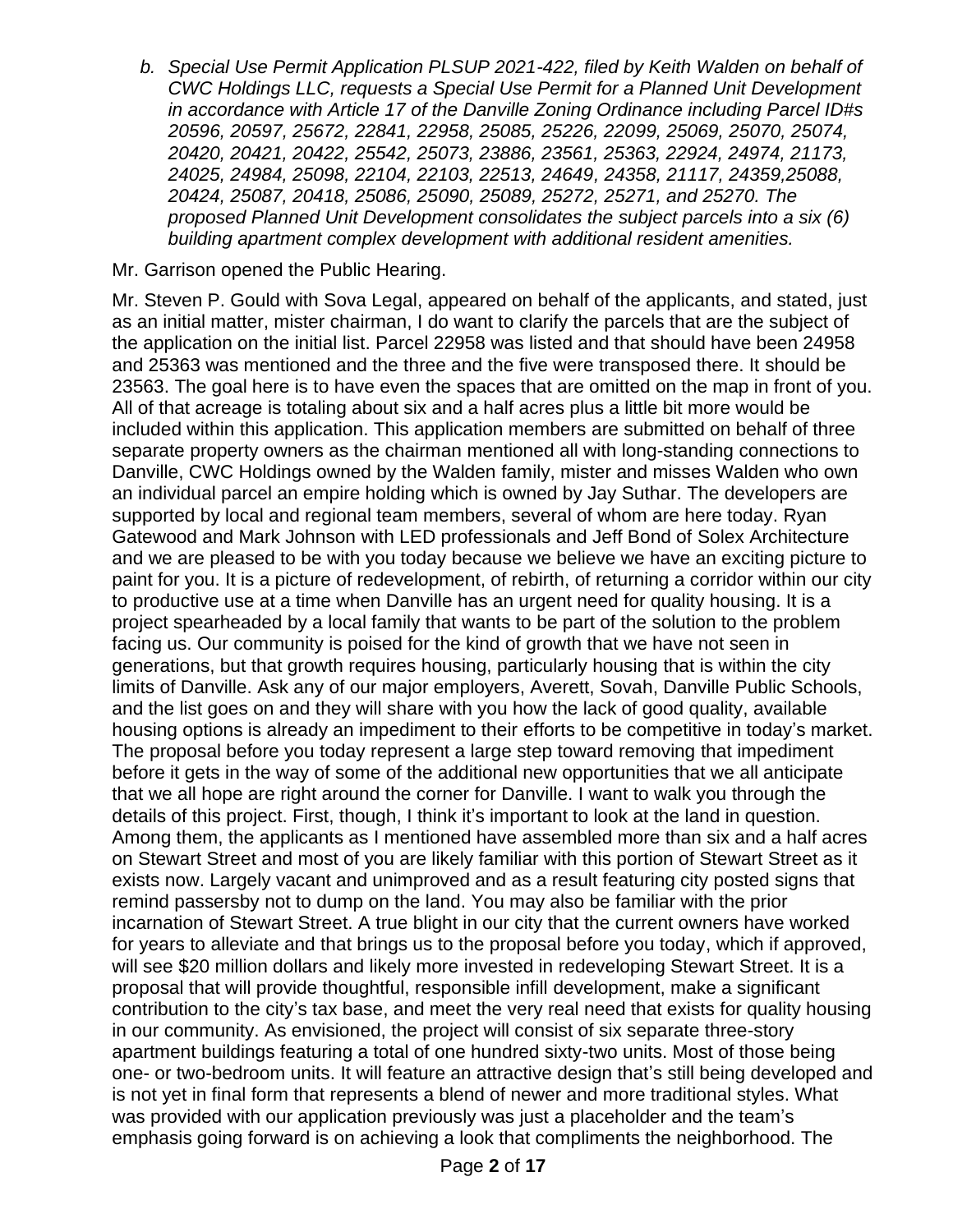*b. Special Use Permit Application PLSUP 2021-422, filed by Keith Walden on behalf of CWC Holdings LLC, requests a Special Use Permit for a Planned Unit Development in accordance with Article 17 of the Danville Zoning Ordinance including Parcel ID#s 20596, 20597, 25672, 22841, 22958, 25085, 25226, 22099, 25069, 25070, 25074, 20420, 20421, 20422, 25542, 25073, 23886, 23561, 25363, 22924, 24974, 21173, 24025, 24984, 25098, 22104, 22103, 22513, 24649, 24358, 21117, 24359,25088, 20424, 25087, 20418, 25086, 25090, 25089, 25272, 25271, and 25270. The proposed Planned Unit Development consolidates the subject parcels into a six (6) building apartment complex development with additional resident amenities.*

## Mr. Garrison opened the Public Hearing.

Mr. Steven P. Gould with Sova Legal, appeared on behalf of the applicants, and stated, just as an initial matter, mister chairman, I do want to clarify the parcels that are the subject of the application on the initial list. Parcel 22958 was listed and that should have been 24958 and 25363 was mentioned and the three and the five were transposed there. It should be 23563. The goal here is to have even the spaces that are omitted on the map in front of you. All of that acreage is totaling about six and a half acres plus a little bit more would be included within this application. This application members are submitted on behalf of three separate property owners as the chairman mentioned all with long-standing connections to Danville, CWC Holdings owned by the Walden family, mister and misses Walden who own an individual parcel an empire holding which is owned by Jay Suthar. The developers are supported by local and regional team members, several of whom are here today. Ryan Gatewood and Mark Johnson with LED professionals and Jeff Bond of Solex Architecture and we are pleased to be with you today because we believe we have an exciting picture to paint for you. It is a picture of redevelopment, of rebirth, of returning a corridor within our city to productive use at a time when Danville has an urgent need for quality housing. It is a project spearheaded by a local family that wants to be part of the solution to the problem facing us. Our community is poised for the kind of growth that we have not seen in generations, but that growth requires housing, particularly housing that is within the city limits of Danville. Ask any of our major employers, Averett, Sovah, Danville Public Schools, and the list goes on and they will share with you how the lack of good quality, available housing options is already an impediment to their efforts to be competitive in today's market. The proposal before you today represent a large step toward removing that impediment before it gets in the way of some of the additional new opportunities that we all anticipate that we all hope are right around the corner for Danville. I want to walk you through the details of this project. First, though, I think it's important to look at the land in question. Among them, the applicants as I mentioned have assembled more than six and a half acres on Stewart Street and most of you are likely familiar with this portion of Stewart Street as it exists now. Largely vacant and unimproved and as a result featuring city posted signs that remind passersby not to dump on the land. You may also be familiar with the prior incarnation of Stewart Street. A true blight in our city that the current owners have worked for years to alleviate and that brings us to the proposal before you today, which if approved, will see \$20 million dollars and likely more invested in redeveloping Stewart Street. It is a proposal that will provide thoughtful, responsible infill development, make a significant contribution to the city's tax base, and meet the very real need that exists for quality housing in our community. As envisioned, the project will consist of six separate three-story apartment buildings featuring a total of one hundred sixty-two units. Most of those being one- or two-bedroom units. It will feature an attractive design that's still being developed and is not yet in final form that represents a blend of newer and more traditional styles. What was provided with our application previously was just a placeholder and the team's emphasis going forward is on achieving a look that compliments the neighborhood. The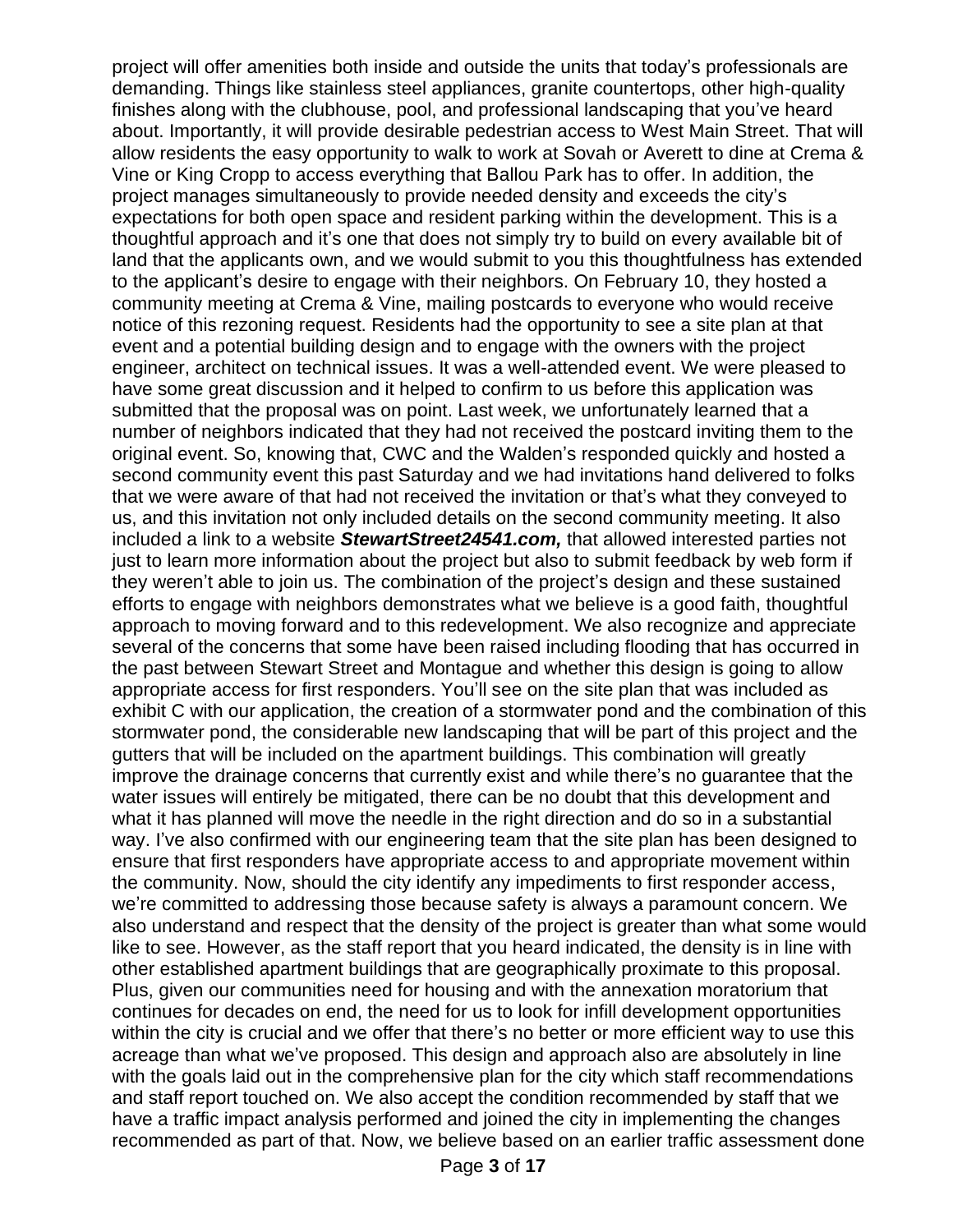project will offer amenities both inside and outside the units that today's professionals are demanding. Things like stainless steel appliances, granite countertops, other high-quality finishes along with the clubhouse, pool, and professional landscaping that you've heard about. Importantly, it will provide desirable pedestrian access to West Main Street. That will allow residents the easy opportunity to walk to work at Sovah or Averett to dine at Crema & Vine or King Cropp to access everything that Ballou Park has to offer. In addition, the project manages simultaneously to provide needed density and exceeds the city's expectations for both open space and resident parking within the development. This is a thoughtful approach and it's one that does not simply try to build on every available bit of land that the applicants own, and we would submit to you this thoughtfulness has extended to the applicant's desire to engage with their neighbors. On February 10, they hosted a community meeting at Crema & Vine, mailing postcards to everyone who would receive notice of this rezoning request. Residents had the opportunity to see a site plan at that event and a potential building design and to engage with the owners with the project engineer, architect on technical issues. It was a well-attended event. We were pleased to have some great discussion and it helped to confirm to us before this application was submitted that the proposal was on point. Last week, we unfortunately learned that a number of neighbors indicated that they had not received the postcard inviting them to the original event. So, knowing that, CWC and the Walden's responded quickly and hosted a second community event this past Saturday and we had invitations hand delivered to folks that we were aware of that had not received the invitation or that's what they conveyed to us, and this invitation not only included details on the second community meeting. It also included a link to a website *StewartStreet24541.com,* that allowed interested parties not just to learn more information about the project but also to submit feedback by web form if they weren't able to join us. The combination of the project's design and these sustained efforts to engage with neighbors demonstrates what we believe is a good faith, thoughtful approach to moving forward and to this redevelopment. We also recognize and appreciate several of the concerns that some have been raised including flooding that has occurred in the past between Stewart Street and Montague and whether this design is going to allow appropriate access for first responders. You'll see on the site plan that was included as exhibit C with our application, the creation of a stormwater pond and the combination of this stormwater pond, the considerable new landscaping that will be part of this project and the gutters that will be included on the apartment buildings. This combination will greatly improve the drainage concerns that currently exist and while there's no guarantee that the water issues will entirely be mitigated, there can be no doubt that this development and what it has planned will move the needle in the right direction and do so in a substantial way. I've also confirmed with our engineering team that the site plan has been designed to ensure that first responders have appropriate access to and appropriate movement within the community. Now, should the city identify any impediments to first responder access, we're committed to addressing those because safety is always a paramount concern. We also understand and respect that the density of the project is greater than what some would like to see. However, as the staff report that you heard indicated, the density is in line with other established apartment buildings that are geographically proximate to this proposal. Plus, given our communities need for housing and with the annexation moratorium that continues for decades on end, the need for us to look for infill development opportunities within the city is crucial and we offer that there's no better or more efficient way to use this acreage than what we've proposed. This design and approach also are absolutely in line with the goals laid out in the comprehensive plan for the city which staff recommendations and staff report touched on. We also accept the condition recommended by staff that we have a traffic impact analysis performed and joined the city in implementing the changes recommended as part of that. Now, we believe based on an earlier traffic assessment done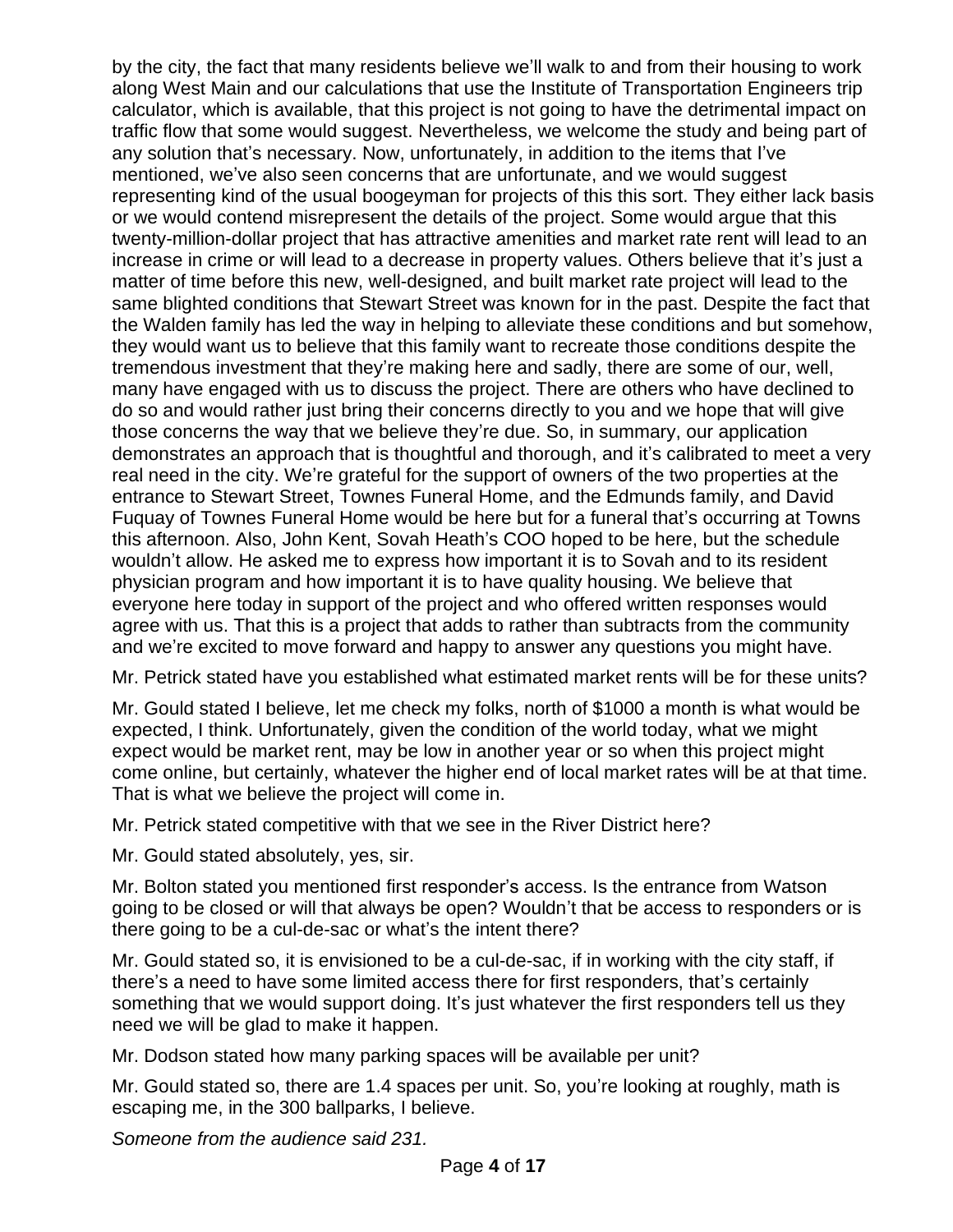by the city, the fact that many residents believe we'll walk to and from their housing to work along West Main and our calculations that use the Institute of Transportation Engineers trip calculator, which is available, that this project is not going to have the detrimental impact on traffic flow that some would suggest. Nevertheless, we welcome the study and being part of any solution that's necessary. Now, unfortunately, in addition to the items that I've mentioned, we've also seen concerns that are unfortunate, and we would suggest representing kind of the usual boogeyman for projects of this this sort. They either lack basis or we would contend misrepresent the details of the project. Some would argue that this twenty-million-dollar project that has attractive amenities and market rate rent will lead to an increase in crime or will lead to a decrease in property values. Others believe that it's just a matter of time before this new, well-designed, and built market rate project will lead to the same blighted conditions that Stewart Street was known for in the past. Despite the fact that the Walden family has led the way in helping to alleviate these conditions and but somehow, they would want us to believe that this family want to recreate those conditions despite the tremendous investment that they're making here and sadly, there are some of our, well, many have engaged with us to discuss the project. There are others who have declined to do so and would rather just bring their concerns directly to you and we hope that will give those concerns the way that we believe they're due. So, in summary, our application demonstrates an approach that is thoughtful and thorough, and it's calibrated to meet a very real need in the city. We're grateful for the support of owners of the two properties at the entrance to Stewart Street, Townes Funeral Home, and the Edmunds family, and David Fuquay of Townes Funeral Home would be here but for a funeral that's occurring at Towns this afternoon. Also, John Kent, Sovah Heath's COO hoped to be here, but the schedule wouldn't allow. He asked me to express how important it is to Sovah and to its resident physician program and how important it is to have quality housing. We believe that everyone here today in support of the project and who offered written responses would agree with us. That this is a project that adds to rather than subtracts from the community and we're excited to move forward and happy to answer any questions you might have.

Mr. Petrick stated have you established what estimated market rents will be for these units?

Mr. Gould stated I believe, let me check my folks, north of \$1000 a month is what would be expected, I think. Unfortunately, given the condition of the world today, what we might expect would be market rent, may be low in another year or so when this project might come online, but certainly, whatever the higher end of local market rates will be at that time. That is what we believe the project will come in.

Mr. Petrick stated competitive with that we see in the River District here?

Mr. Gould stated absolutely, yes, sir.

Mr. Bolton stated you mentioned first responder's access. Is the entrance from Watson going to be closed or will that always be open? Wouldn't that be access to responders or is there going to be a cul-de-sac or what's the intent there?

Mr. Gould stated so, it is envisioned to be a cul-de-sac, if in working with the city staff, if there's a need to have some limited access there for first responders, that's certainly something that we would support doing. It's just whatever the first responders tell us they need we will be glad to make it happen.

Mr. Dodson stated how many parking spaces will be available per unit?

Mr. Gould stated so, there are 1.4 spaces per unit. So, you're looking at roughly, math is escaping me, in the 300 ballparks, I believe.

*Someone from the audience said 231.*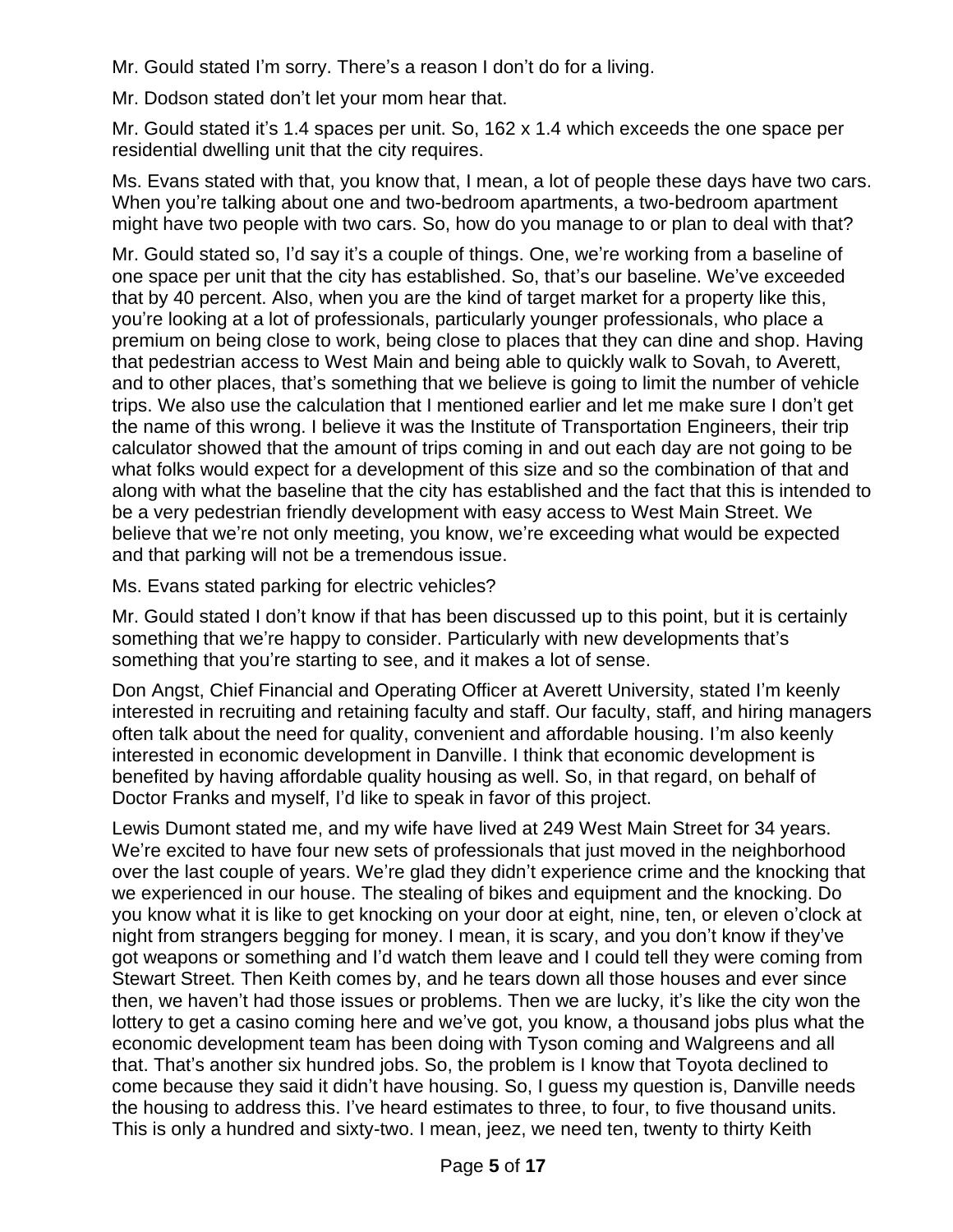Mr. Gould stated I'm sorry. There's a reason I don't do for a living.

Mr. Dodson stated don't let your mom hear that.

Mr. Gould stated it's 1.4 spaces per unit. So, 162 x 1.4 which exceeds the one space per residential dwelling unit that the city requires.

Ms. Evans stated with that, you know that, I mean, a lot of people these days have two cars. When you're talking about one and two-bedroom apartments, a two-bedroom apartment might have two people with two cars. So, how do you manage to or plan to deal with that?

Mr. Gould stated so, I'd say it's a couple of things. One, we're working from a baseline of one space per unit that the city has established. So, that's our baseline. We've exceeded that by 40 percent. Also, when you are the kind of target market for a property like this, you're looking at a lot of professionals, particularly younger professionals, who place a premium on being close to work, being close to places that they can dine and shop. Having that pedestrian access to West Main and being able to quickly walk to Sovah, to Averett, and to other places, that's something that we believe is going to limit the number of vehicle trips. We also use the calculation that I mentioned earlier and let me make sure I don't get the name of this wrong. I believe it was the Institute of Transportation Engineers, their trip calculator showed that the amount of trips coming in and out each day are not going to be what folks would expect for a development of this size and so the combination of that and along with what the baseline that the city has established and the fact that this is intended to be a very pedestrian friendly development with easy access to West Main Street. We believe that we're not only meeting, you know, we're exceeding what would be expected and that parking will not be a tremendous issue.

Ms. Evans stated parking for electric vehicles?

Mr. Gould stated I don't know if that has been discussed up to this point, but it is certainly something that we're happy to consider. Particularly with new developments that's something that you're starting to see, and it makes a lot of sense.

Don Angst, Chief Financial and Operating Officer at Averett University, stated I'm keenly interested in recruiting and retaining faculty and staff. Our faculty, staff, and hiring managers often talk about the need for quality, convenient and affordable housing. I'm also keenly interested in economic development in Danville. I think that economic development is benefited by having affordable quality housing as well. So, in that regard, on behalf of Doctor Franks and myself, I'd like to speak in favor of this project.

Lewis Dumont stated me, and my wife have lived at 249 West Main Street for 34 years. We're excited to have four new sets of professionals that just moved in the neighborhood over the last couple of years. We're glad they didn't experience crime and the knocking that we experienced in our house. The stealing of bikes and equipment and the knocking. Do you know what it is like to get knocking on your door at eight, nine, ten, or eleven o'clock at night from strangers begging for money. I mean, it is scary, and you don't know if they've got weapons or something and I'd watch them leave and I could tell they were coming from Stewart Street. Then Keith comes by, and he tears down all those houses and ever since then, we haven't had those issues or problems. Then we are lucky, it's like the city won the lottery to get a casino coming here and we've got, you know, a thousand jobs plus what the economic development team has been doing with Tyson coming and Walgreens and all that. That's another six hundred jobs. So, the problem is I know that Toyota declined to come because they said it didn't have housing. So, I guess my question is, Danville needs the housing to address this. I've heard estimates to three, to four, to five thousand units. This is only a hundred and sixty-two. I mean, jeez, we need ten, twenty to thirty Keith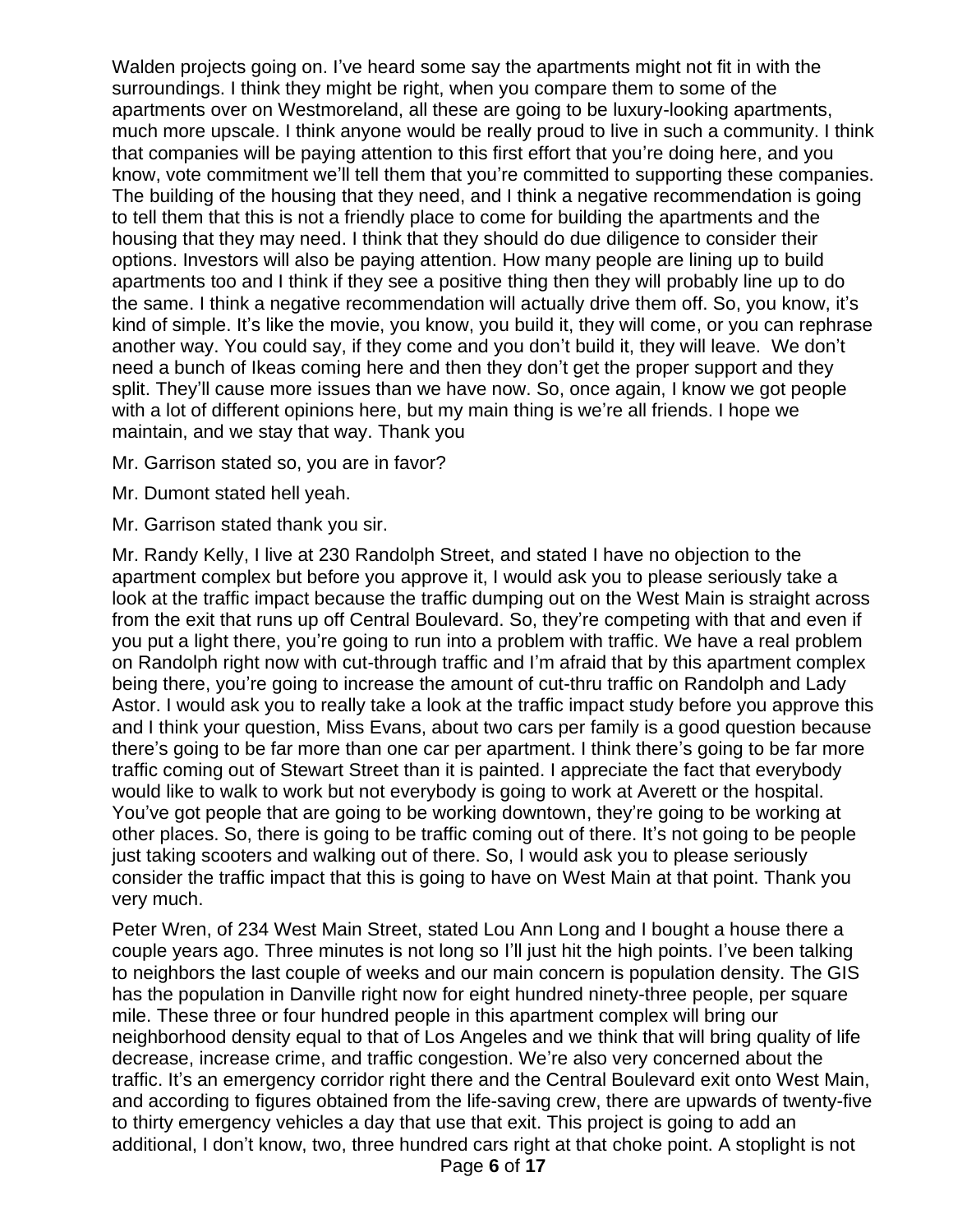Walden projects going on. I've heard some say the apartments might not fit in with the surroundings. I think they might be right, when you compare them to some of the apartments over on Westmoreland, all these are going to be luxury-looking apartments, much more upscale. I think anyone would be really proud to live in such a community. I think that companies will be paying attention to this first effort that you're doing here, and you know, vote commitment we'll tell them that you're committed to supporting these companies. The building of the housing that they need, and I think a negative recommendation is going to tell them that this is not a friendly place to come for building the apartments and the housing that they may need. I think that they should do due diligence to consider their options. Investors will also be paying attention. How many people are lining up to build apartments too and I think if they see a positive thing then they will probably line up to do the same. I think a negative recommendation will actually drive them off. So, you know, it's kind of simple. It's like the movie, you know, you build it, they will come, or you can rephrase another way. You could say, if they come and you don't build it, they will leave. We don't need a bunch of Ikeas coming here and then they don't get the proper support and they split. They'll cause more issues than we have now. So, once again, I know we got people with a lot of different opinions here, but my main thing is we're all friends. I hope we maintain, and we stay that way. Thank you

- Mr. Garrison stated so, you are in favor?
- Mr. Dumont stated hell yeah.
- Mr. Garrison stated thank you sir.

Mr. Randy Kelly, I live at 230 Randolph Street, and stated I have no objection to the apartment complex but before you approve it, I would ask you to please seriously take a look at the traffic impact because the traffic dumping out on the West Main is straight across from the exit that runs up off Central Boulevard. So, they're competing with that and even if you put a light there, you're going to run into a problem with traffic. We have a real problem on Randolph right now with cut-through traffic and I'm afraid that by this apartment complex being there, you're going to increase the amount of cut-thru traffic on Randolph and Lady Astor. I would ask you to really take a look at the traffic impact study before you approve this and I think your question, Miss Evans, about two cars per family is a good question because there's going to be far more than one car per apartment. I think there's going to be far more traffic coming out of Stewart Street than it is painted. I appreciate the fact that everybody would like to walk to work but not everybody is going to work at Averett or the hospital. You've got people that are going to be working downtown, they're going to be working at other places. So, there is going to be traffic coming out of there. It's not going to be people just taking scooters and walking out of there. So, I would ask you to please seriously consider the traffic impact that this is going to have on West Main at that point. Thank you very much.

Peter Wren, of 234 West Main Street, stated Lou Ann Long and I bought a house there a couple years ago. Three minutes is not long so I'll just hit the high points. I've been talking to neighbors the last couple of weeks and our main concern is population density. The GIS has the population in Danville right now for eight hundred ninety-three people, per square mile. These three or four hundred people in this apartment complex will bring our neighborhood density equal to that of Los Angeles and we think that will bring quality of life decrease, increase crime, and traffic congestion. We're also very concerned about the traffic. It's an emergency corridor right there and the Central Boulevard exit onto West Main, and according to figures obtained from the life-saving crew, there are upwards of twenty-five to thirty emergency vehicles a day that use that exit. This project is going to add an additional, I don't know, two, three hundred cars right at that choke point. A stoplight is not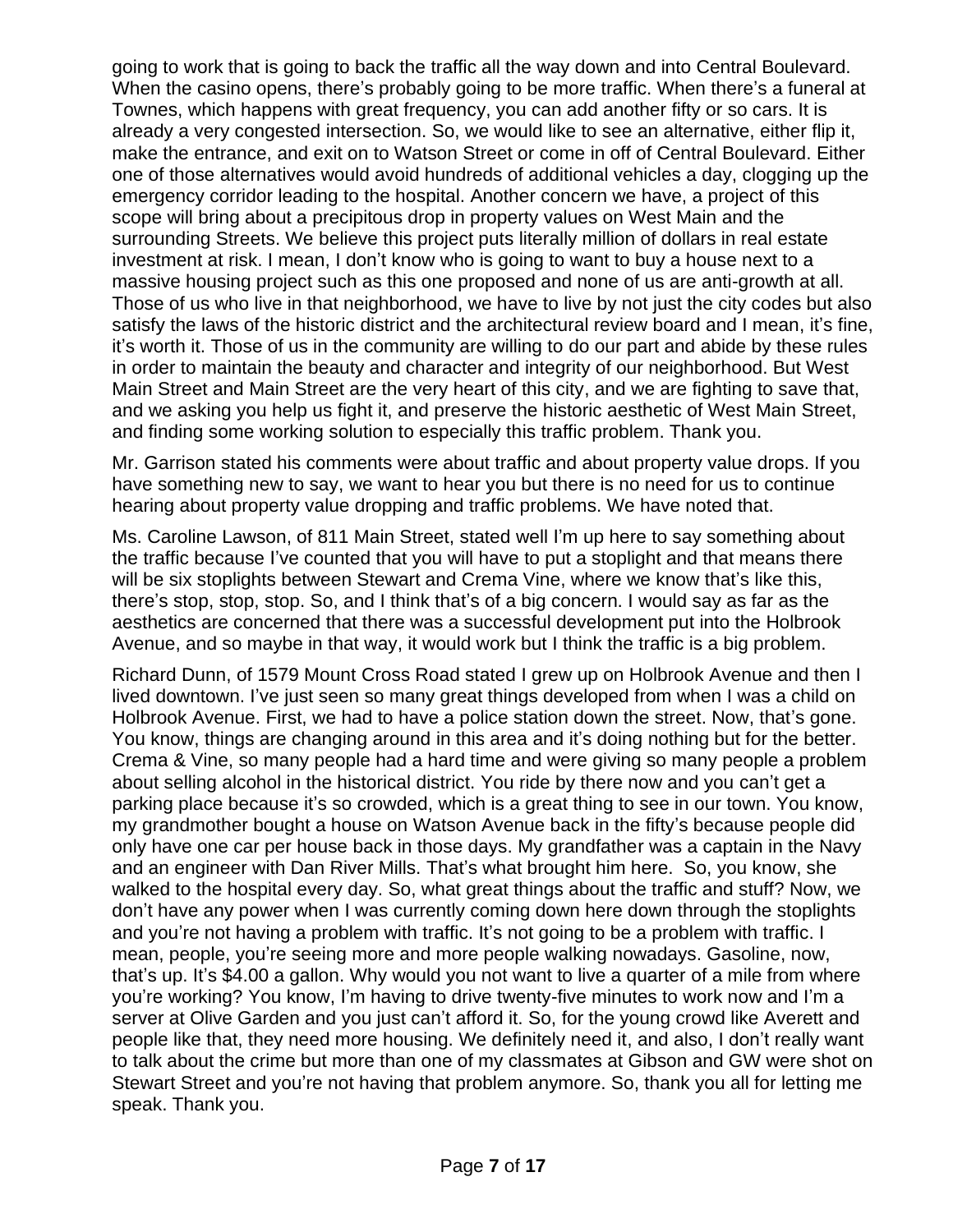going to work that is going to back the traffic all the way down and into Central Boulevard. When the casino opens, there's probably going to be more traffic. When there's a funeral at Townes, which happens with great frequency, you can add another fifty or so cars. It is already a very congested intersection. So, we would like to see an alternative, either flip it, make the entrance, and exit on to Watson Street or come in off of Central Boulevard. Either one of those alternatives would avoid hundreds of additional vehicles a day, clogging up the emergency corridor leading to the hospital. Another concern we have, a project of this scope will bring about a precipitous drop in property values on West Main and the surrounding Streets. We believe this project puts literally million of dollars in real estate investment at risk. I mean, I don't know who is going to want to buy a house next to a massive housing project such as this one proposed and none of us are anti-growth at all. Those of us who live in that neighborhood, we have to live by not just the city codes but also satisfy the laws of the historic district and the architectural review board and I mean, it's fine, it's worth it. Those of us in the community are willing to do our part and abide by these rules in order to maintain the beauty and character and integrity of our neighborhood. But West Main Street and Main Street are the very heart of this city, and we are fighting to save that, and we asking you help us fight it, and preserve the historic aesthetic of West Main Street, and finding some working solution to especially this traffic problem. Thank you.

Mr. Garrison stated his comments were about traffic and about property value drops. If you have something new to say, we want to hear you but there is no need for us to continue hearing about property value dropping and traffic problems. We have noted that.

Ms. Caroline Lawson, of 811 Main Street, stated well I'm up here to say something about the traffic because I've counted that you will have to put a stoplight and that means there will be six stoplights between Stewart and Crema Vine, where we know that's like this, there's stop, stop, stop. So, and I think that's of a big concern. I would say as far as the aesthetics are concerned that there was a successful development put into the Holbrook Avenue, and so maybe in that way, it would work but I think the traffic is a big problem.

Richard Dunn, of 1579 Mount Cross Road stated I grew up on Holbrook Avenue and then I lived downtown. I've just seen so many great things developed from when I was a child on Holbrook Avenue. First, we had to have a police station down the street. Now, that's gone. You know, things are changing around in this area and it's doing nothing but for the better. Crema & Vine, so many people had a hard time and were giving so many people a problem about selling alcohol in the historical district. You ride by there now and you can't get a parking place because it's so crowded, which is a great thing to see in our town. You know, my grandmother bought a house on Watson Avenue back in the fifty's because people did only have one car per house back in those days. My grandfather was a captain in the Navy and an engineer with Dan River Mills. That's what brought him here. So, you know, she walked to the hospital every day. So, what great things about the traffic and stuff? Now, we don't have any power when I was currently coming down here down through the stoplights and you're not having a problem with traffic. It's not going to be a problem with traffic. I mean, people, you're seeing more and more people walking nowadays. Gasoline, now, that's up. It's \$4.00 a gallon. Why would you not want to live a quarter of a mile from where you're working? You know, I'm having to drive twenty-five minutes to work now and I'm a server at Olive Garden and you just can't afford it. So, for the young crowd like Averett and people like that, they need more housing. We definitely need it, and also, I don't really want to talk about the crime but more than one of my classmates at Gibson and GW were shot on Stewart Street and you're not having that problem anymore. So, thank you all for letting me speak. Thank you.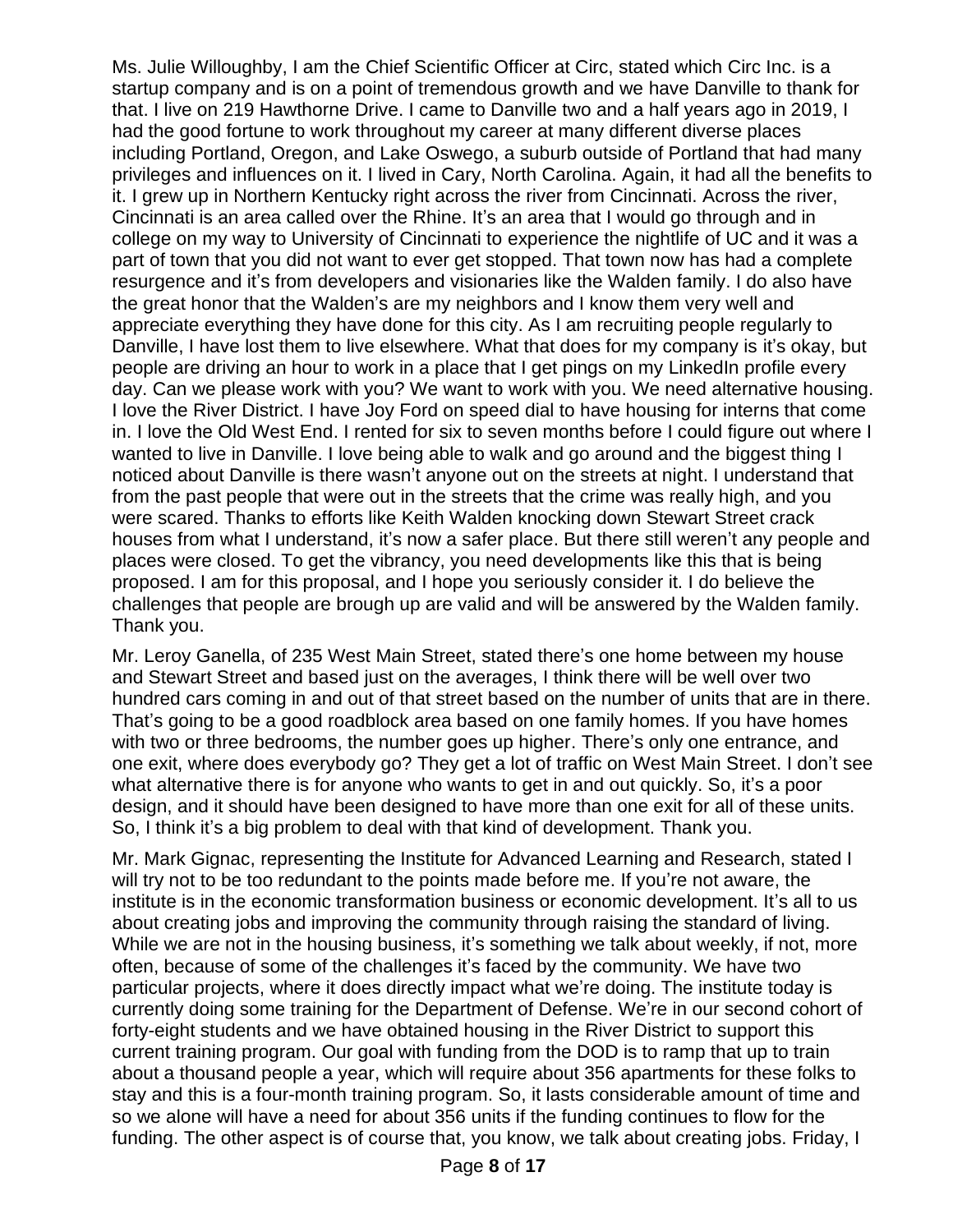Ms. Julie Willoughby, I am the Chief Scientific Officer at Circ, stated which Circ Inc. is a startup company and is on a point of tremendous growth and we have Danville to thank for that. I live on 219 Hawthorne Drive. I came to Danville two and a half years ago in 2019, I had the good fortune to work throughout my career at many different diverse places including Portland, Oregon, and Lake Oswego, a suburb outside of Portland that had many privileges and influences on it. I lived in Cary, North Carolina. Again, it had all the benefits to it. I grew up in Northern Kentucky right across the river from Cincinnati. Across the river, Cincinnati is an area called over the Rhine. It's an area that I would go through and in college on my way to University of Cincinnati to experience the nightlife of UC and it was a part of town that you did not want to ever get stopped. That town now has had a complete resurgence and it's from developers and visionaries like the Walden family. I do also have the great honor that the Walden's are my neighbors and I know them very well and appreciate everything they have done for this city. As I am recruiting people regularly to Danville, I have lost them to live elsewhere. What that does for my company is it's okay, but people are driving an hour to work in a place that I get pings on my LinkedIn profile every day. Can we please work with you? We want to work with you. We need alternative housing. I love the River District. I have Joy Ford on speed dial to have housing for interns that come in. I love the Old West End. I rented for six to seven months before I could figure out where I wanted to live in Danville. I love being able to walk and go around and the biggest thing I noticed about Danville is there wasn't anyone out on the streets at night. I understand that from the past people that were out in the streets that the crime was really high, and you were scared. Thanks to efforts like Keith Walden knocking down Stewart Street crack houses from what I understand, it's now a safer place. But there still weren't any people and places were closed. To get the vibrancy, you need developments like this that is being proposed. I am for this proposal, and I hope you seriously consider it. I do believe the challenges that people are brough up are valid and will be answered by the Walden family. Thank you.

Mr. Leroy Ganella, of 235 West Main Street, stated there's one home between my house and Stewart Street and based just on the averages, I think there will be well over two hundred cars coming in and out of that street based on the number of units that are in there. That's going to be a good roadblock area based on one family homes. If you have homes with two or three bedrooms, the number goes up higher. There's only one entrance, and one exit, where does everybody go? They get a lot of traffic on West Main Street. I don't see what alternative there is for anyone who wants to get in and out quickly. So, it's a poor design, and it should have been designed to have more than one exit for all of these units. So, I think it's a big problem to deal with that kind of development. Thank you.

Mr. Mark Gignac, representing the Institute for Advanced Learning and Research, stated I will try not to be too redundant to the points made before me. If you're not aware, the institute is in the economic transformation business or economic development. It's all to us about creating jobs and improving the community through raising the standard of living. While we are not in the housing business, it's something we talk about weekly, if not, more often, because of some of the challenges it's faced by the community. We have two particular projects, where it does directly impact what we're doing. The institute today is currently doing some training for the Department of Defense. We're in our second cohort of forty-eight students and we have obtained housing in the River District to support this current training program. Our goal with funding from the DOD is to ramp that up to train about a thousand people a year, which will require about 356 apartments for these folks to stay and this is a four-month training program. So, it lasts considerable amount of time and so we alone will have a need for about 356 units if the funding continues to flow for the funding. The other aspect is of course that, you know, we talk about creating jobs. Friday, I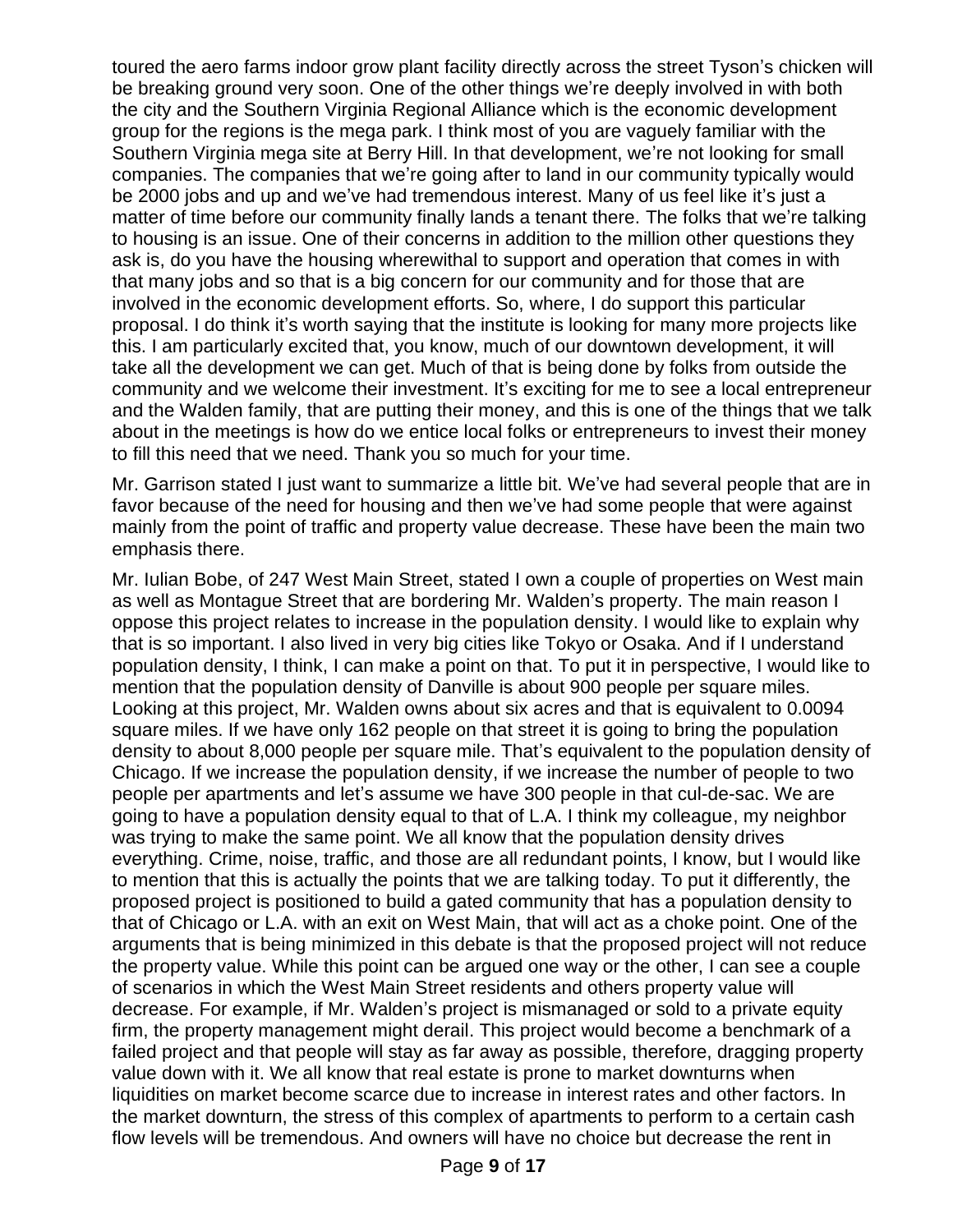toured the aero farms indoor grow plant facility directly across the street Tyson's chicken will be breaking ground very soon. One of the other things we're deeply involved in with both the city and the Southern Virginia Regional Alliance which is the economic development group for the regions is the mega park. I think most of you are vaguely familiar with the Southern Virginia mega site at Berry Hill. In that development, we're not looking for small companies. The companies that we're going after to land in our community typically would be 2000 jobs and up and we've had tremendous interest. Many of us feel like it's just a matter of time before our community finally lands a tenant there. The folks that we're talking to housing is an issue. One of their concerns in addition to the million other questions they ask is, do you have the housing wherewithal to support and operation that comes in with that many jobs and so that is a big concern for our community and for those that are involved in the economic development efforts. So, where, I do support this particular proposal. I do think it's worth saying that the institute is looking for many more projects like this. I am particularly excited that, you know, much of our downtown development, it will take all the development we can get. Much of that is being done by folks from outside the community and we welcome their investment. It's exciting for me to see a local entrepreneur and the Walden family, that are putting their money, and this is one of the things that we talk about in the meetings is how do we entice local folks or entrepreneurs to invest their money to fill this need that we need. Thank you so much for your time.

Mr. Garrison stated I just want to summarize a little bit. We've had several people that are in favor because of the need for housing and then we've had some people that were against mainly from the point of traffic and property value decrease. These have been the main two emphasis there.

Mr. Iulian Bobe, of 247 West Main Street, stated I own a couple of properties on West main as well as Montague Street that are bordering Mr. Walden's property. The main reason I oppose this project relates to increase in the population density. I would like to explain why that is so important. I also lived in very big cities like Tokyo or Osaka. And if I understand population density, I think, I can make a point on that. To put it in perspective, I would like to mention that the population density of Danville is about 900 people per square miles. Looking at this project, Mr. Walden owns about six acres and that is equivalent to 0.0094 square miles. If we have only 162 people on that street it is going to bring the population density to about 8,000 people per square mile. That's equivalent to the population density of Chicago. If we increase the population density, if we increase the number of people to two people per apartments and let's assume we have 300 people in that cul-de-sac. We are going to have a population density equal to that of L.A. I think my colleague, my neighbor was trying to make the same point. We all know that the population density drives everything. Crime, noise, traffic, and those are all redundant points, I know, but I would like to mention that this is actually the points that we are talking today. To put it differently, the proposed project is positioned to build a gated community that has a population density to that of Chicago or L.A. with an exit on West Main, that will act as a choke point. One of the arguments that is being minimized in this debate is that the proposed project will not reduce the property value. While this point can be argued one way or the other, I can see a couple of scenarios in which the West Main Street residents and others property value will decrease. For example, if Mr. Walden's project is mismanaged or sold to a private equity firm, the property management might derail. This project would become a benchmark of a failed project and that people will stay as far away as possible, therefore, dragging property value down with it. We all know that real estate is prone to market downturns when liquidities on market become scarce due to increase in interest rates and other factors. In the market downturn, the stress of this complex of apartments to perform to a certain cash flow levels will be tremendous. And owners will have no choice but decrease the rent in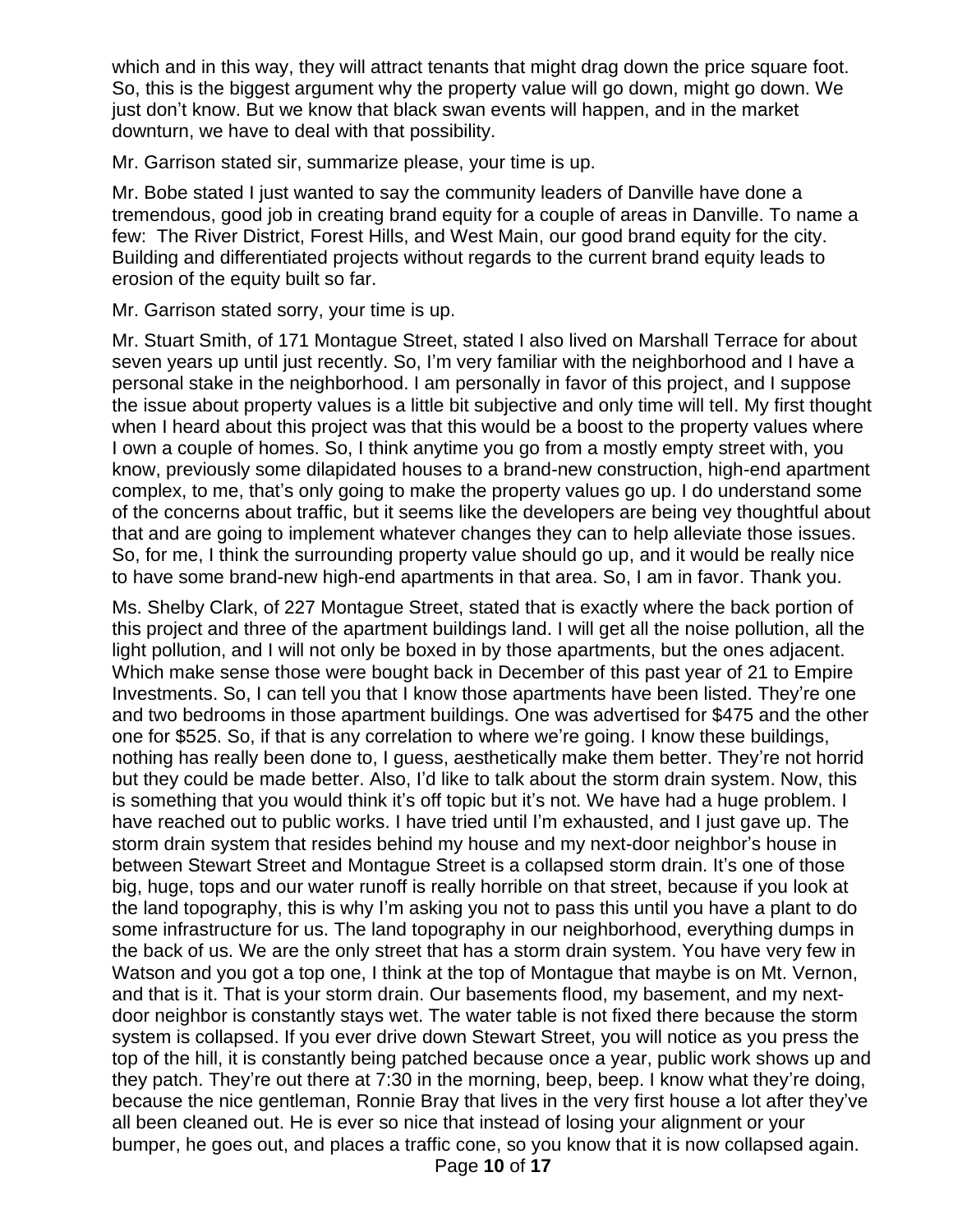which and in this way, they will attract tenants that might drag down the price square foot. So, this is the biggest argument why the property value will go down, might go down. We just don't know. But we know that black swan events will happen, and in the market downturn, we have to deal with that possibility.

Mr. Garrison stated sir, summarize please, your time is up.

Mr. Bobe stated I just wanted to say the community leaders of Danville have done a tremendous, good job in creating brand equity for a couple of areas in Danville. To name a few: The River District, Forest Hills, and West Main, our good brand equity for the city. Building and differentiated projects without regards to the current brand equity leads to erosion of the equity built so far.

Mr. Garrison stated sorry, your time is up.

Mr. Stuart Smith, of 171 Montague Street, stated I also lived on Marshall Terrace for about seven years up until just recently. So, I'm very familiar with the neighborhood and I have a personal stake in the neighborhood. I am personally in favor of this project, and I suppose the issue about property values is a little bit subjective and only time will tell. My first thought when I heard about this project was that this would be a boost to the property values where I own a couple of homes. So, I think anytime you go from a mostly empty street with, you know, previously some dilapidated houses to a brand-new construction, high-end apartment complex, to me, that's only going to make the property values go up. I do understand some of the concerns about traffic, but it seems like the developers are being vey thoughtful about that and are going to implement whatever changes they can to help alleviate those issues. So, for me, I think the surrounding property value should go up, and it would be really nice to have some brand-new high-end apartments in that area. So, I am in favor. Thank you.

Ms. Shelby Clark, of 227 Montague Street, stated that is exactly where the back portion of this project and three of the apartment buildings land. I will get all the noise pollution, all the light pollution, and I will not only be boxed in by those apartments, but the ones adjacent. Which make sense those were bought back in December of this past year of 21 to Empire Investments. So, I can tell you that I know those apartments have been listed. They're one and two bedrooms in those apartment buildings. One was advertised for \$475 and the other one for \$525. So, if that is any correlation to where we're going. I know these buildings, nothing has really been done to, I guess, aesthetically make them better. They're not horrid but they could be made better. Also, I'd like to talk about the storm drain system. Now, this is something that you would think it's off topic but it's not. We have had a huge problem. I have reached out to public works. I have tried until I'm exhausted, and I just gave up. The storm drain system that resides behind my house and my next-door neighbor's house in between Stewart Street and Montague Street is a collapsed storm drain. It's one of those big, huge, tops and our water runoff is really horrible on that street, because if you look at the land topography, this is why I'm asking you not to pass this until you have a plant to do some infrastructure for us. The land topography in our neighborhood, everything dumps in the back of us. We are the only street that has a storm drain system. You have very few in Watson and you got a top one, I think at the top of Montague that maybe is on Mt. Vernon, and that is it. That is your storm drain. Our basements flood, my basement, and my nextdoor neighbor is constantly stays wet. The water table is not fixed there because the storm system is collapsed. If you ever drive down Stewart Street, you will notice as you press the top of the hill, it is constantly being patched because once a year, public work shows up and they patch. They're out there at 7:30 in the morning, beep, beep. I know what they're doing, because the nice gentleman, Ronnie Bray that lives in the very first house a lot after they've all been cleaned out. He is ever so nice that instead of losing your alignment or your bumper, he goes out, and places a traffic cone, so you know that it is now collapsed again.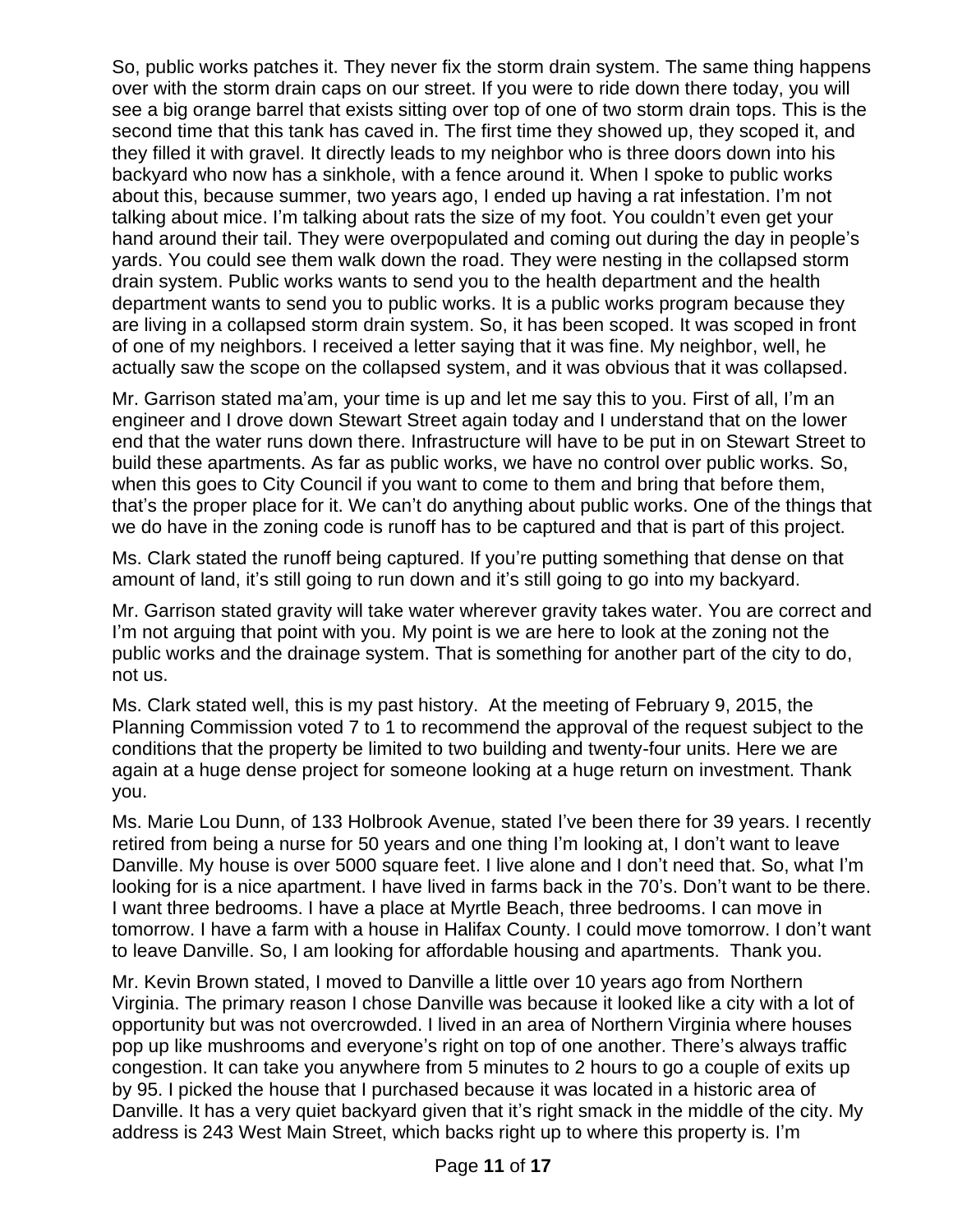So, public works patches it. They never fix the storm drain system. The same thing happens over with the storm drain caps on our street. If you were to ride down there today, you will see a big orange barrel that exists sitting over top of one of two storm drain tops. This is the second time that this tank has caved in. The first time they showed up, they scoped it, and they filled it with gravel. It directly leads to my neighbor who is three doors down into his backyard who now has a sinkhole, with a fence around it. When I spoke to public works about this, because summer, two years ago, I ended up having a rat infestation. I'm not talking about mice. I'm talking about rats the size of my foot. You couldn't even get your hand around their tail. They were overpopulated and coming out during the day in people's yards. You could see them walk down the road. They were nesting in the collapsed storm drain system. Public works wants to send you to the health department and the health department wants to send you to public works. It is a public works program because they are living in a collapsed storm drain system. So, it has been scoped. It was scoped in front of one of my neighbors. I received a letter saying that it was fine. My neighbor, well, he actually saw the scope on the collapsed system, and it was obvious that it was collapsed.

Mr. Garrison stated ma'am, your time is up and let me say this to you. First of all, I'm an engineer and I drove down Stewart Street again today and I understand that on the lower end that the water runs down there. Infrastructure will have to be put in on Stewart Street to build these apartments. As far as public works, we have no control over public works. So, when this goes to City Council if you want to come to them and bring that before them, that's the proper place for it. We can't do anything about public works. One of the things that we do have in the zoning code is runoff has to be captured and that is part of this project.

Ms. Clark stated the runoff being captured. If you're putting something that dense on that amount of land, it's still going to run down and it's still going to go into my backyard.

Mr. Garrison stated gravity will take water wherever gravity takes water. You are correct and I'm not arguing that point with you. My point is we are here to look at the zoning not the public works and the drainage system. That is something for another part of the city to do, not us.

Ms. Clark stated well, this is my past history. At the meeting of February 9, 2015, the Planning Commission voted 7 to 1 to recommend the approval of the request subject to the conditions that the property be limited to two building and twenty-four units. Here we are again at a huge dense project for someone looking at a huge return on investment. Thank you.

Ms. Marie Lou Dunn, of 133 Holbrook Avenue, stated I've been there for 39 years. I recently retired from being a nurse for 50 years and one thing I'm looking at, I don't want to leave Danville. My house is over 5000 square feet. I live alone and I don't need that. So, what I'm looking for is a nice apartment. I have lived in farms back in the 70's. Don't want to be there. I want three bedrooms. I have a place at Myrtle Beach, three bedrooms. I can move in tomorrow. I have a farm with a house in Halifax County. I could move tomorrow. I don't want to leave Danville. So, I am looking for affordable housing and apartments. Thank you.

Mr. Kevin Brown stated, I moved to Danville a little over 10 years ago from Northern Virginia. The primary reason I chose Danville was because it looked like a city with a lot of opportunity but was not overcrowded. I lived in an area of Northern Virginia where houses pop up like mushrooms and everyone's right on top of one another. There's always traffic congestion. It can take you anywhere from 5 minutes to 2 hours to go a couple of exits up by 95. I picked the house that I purchased because it was located in a historic area of Danville. It has a very quiet backyard given that it's right smack in the middle of the city. My address is 243 West Main Street, which backs right up to where this property is. I'm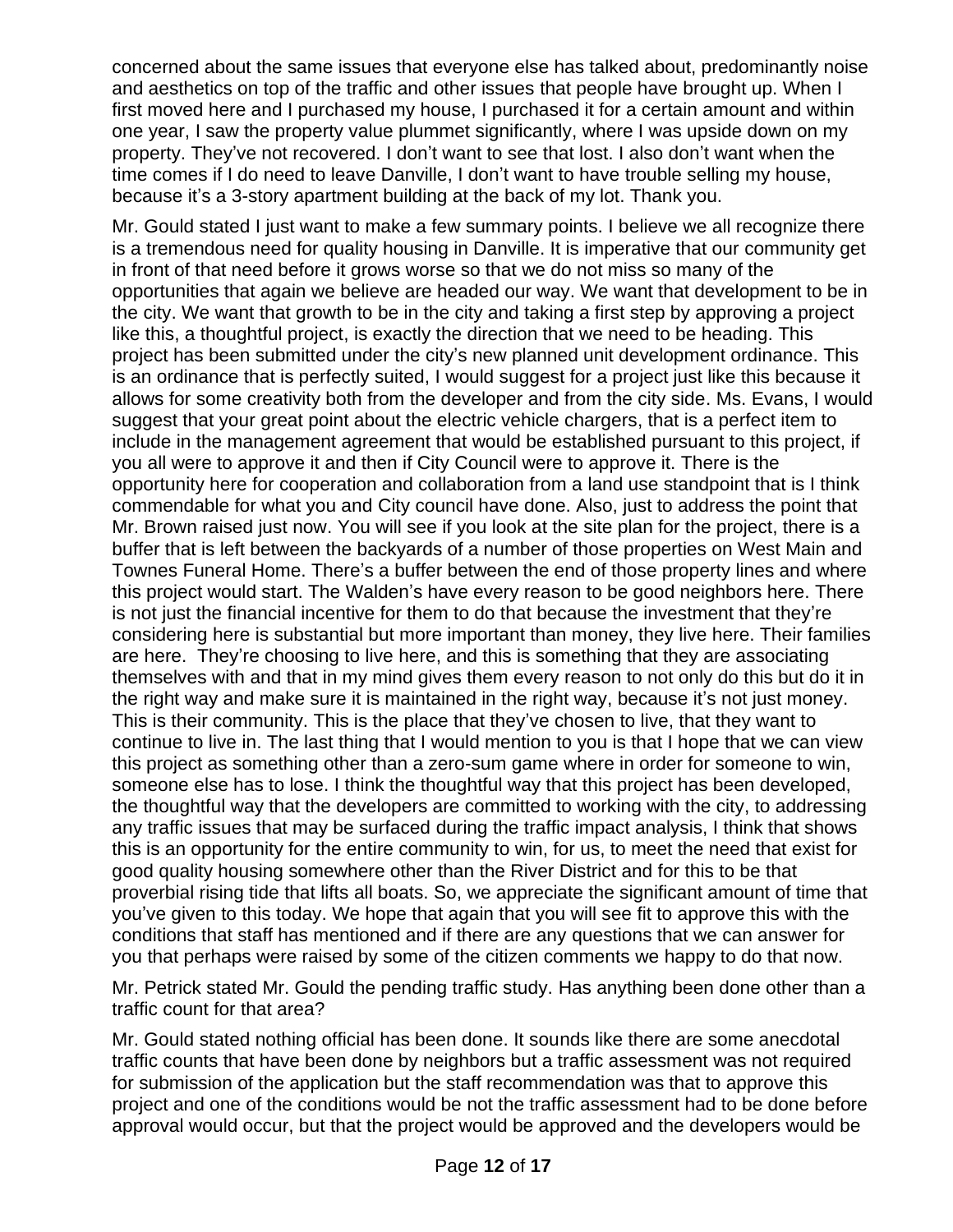concerned about the same issues that everyone else has talked about, predominantly noise and aesthetics on top of the traffic and other issues that people have brought up. When I first moved here and I purchased my house, I purchased it for a certain amount and within one year, I saw the property value plummet significantly, where I was upside down on my property. They've not recovered. I don't want to see that lost. I also don't want when the time comes if I do need to leave Danville, I don't want to have trouble selling my house, because it's a 3-story apartment building at the back of my lot. Thank you.

Mr. Gould stated I just want to make a few summary points. I believe we all recognize there is a tremendous need for quality housing in Danville. It is imperative that our community get in front of that need before it grows worse so that we do not miss so many of the opportunities that again we believe are headed our way. We want that development to be in the city. We want that growth to be in the city and taking a first step by approving a project like this, a thoughtful project, is exactly the direction that we need to be heading. This project has been submitted under the city's new planned unit development ordinance. This is an ordinance that is perfectly suited, I would suggest for a project just like this because it allows for some creativity both from the developer and from the city side. Ms. Evans, I would suggest that your great point about the electric vehicle chargers, that is a perfect item to include in the management agreement that would be established pursuant to this project, if you all were to approve it and then if City Council were to approve it. There is the opportunity here for cooperation and collaboration from a land use standpoint that is I think commendable for what you and City council have done. Also, just to address the point that Mr. Brown raised just now. You will see if you look at the site plan for the project, there is a buffer that is left between the backyards of a number of those properties on West Main and Townes Funeral Home. There's a buffer between the end of those property lines and where this project would start. The Walden's have every reason to be good neighbors here. There is not just the financial incentive for them to do that because the investment that they're considering here is substantial but more important than money, they live here. Their families are here. They're choosing to live here, and this is something that they are associating themselves with and that in my mind gives them every reason to not only do this but do it in the right way and make sure it is maintained in the right way, because it's not just money. This is their community. This is the place that they've chosen to live, that they want to continue to live in. The last thing that I would mention to you is that I hope that we can view this project as something other than a zero-sum game where in order for someone to win, someone else has to lose. I think the thoughtful way that this project has been developed, the thoughtful way that the developers are committed to working with the city, to addressing any traffic issues that may be surfaced during the traffic impact analysis, I think that shows this is an opportunity for the entire community to win, for us, to meet the need that exist for good quality housing somewhere other than the River District and for this to be that proverbial rising tide that lifts all boats. So, we appreciate the significant amount of time that you've given to this today. We hope that again that you will see fit to approve this with the conditions that staff has mentioned and if there are any questions that we can answer for you that perhaps were raised by some of the citizen comments we happy to do that now.

Mr. Petrick stated Mr. Gould the pending traffic study. Has anything been done other than a traffic count for that area?

Mr. Gould stated nothing official has been done. It sounds like there are some anecdotal traffic counts that have been done by neighbors but a traffic assessment was not required for submission of the application but the staff recommendation was that to approve this project and one of the conditions would be not the traffic assessment had to be done before approval would occur, but that the project would be approved and the developers would be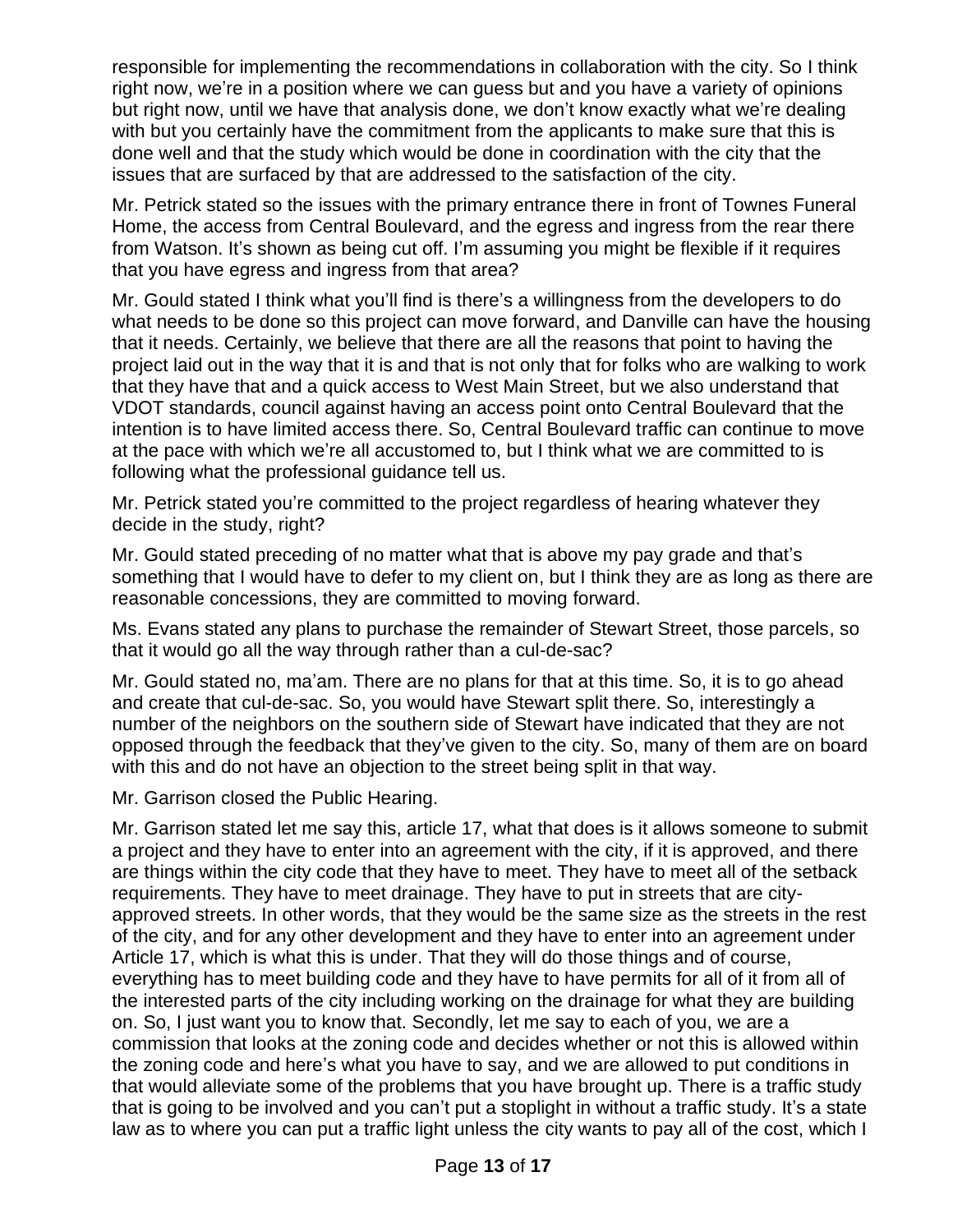responsible for implementing the recommendations in collaboration with the city. So I think right now, we're in a position where we can guess but and you have a variety of opinions but right now, until we have that analysis done, we don't know exactly what we're dealing with but you certainly have the commitment from the applicants to make sure that this is done well and that the study which would be done in coordination with the city that the issues that are surfaced by that are addressed to the satisfaction of the city.

Mr. Petrick stated so the issues with the primary entrance there in front of Townes Funeral Home, the access from Central Boulevard, and the egress and ingress from the rear there from Watson. It's shown as being cut off. I'm assuming you might be flexible if it requires that you have egress and ingress from that area?

Mr. Gould stated I think what you'll find is there's a willingness from the developers to do what needs to be done so this project can move forward, and Danville can have the housing that it needs. Certainly, we believe that there are all the reasons that point to having the project laid out in the way that it is and that is not only that for folks who are walking to work that they have that and a quick access to West Main Street, but we also understand that VDOT standards, council against having an access point onto Central Boulevard that the intention is to have limited access there. So, Central Boulevard traffic can continue to move at the pace with which we're all accustomed to, but I think what we are committed to is following what the professional guidance tell us.

Mr. Petrick stated you're committed to the project regardless of hearing whatever they decide in the study, right?

Mr. Gould stated preceding of no matter what that is above my pay grade and that's something that I would have to defer to my client on, but I think they are as long as there are reasonable concessions, they are committed to moving forward.

Ms. Evans stated any plans to purchase the remainder of Stewart Street, those parcels, so that it would go all the way through rather than a cul-de-sac?

Mr. Gould stated no, ma'am. There are no plans for that at this time. So, it is to go ahead and create that cul-de-sac. So, you would have Stewart split there. So, interestingly a number of the neighbors on the southern side of Stewart have indicated that they are not opposed through the feedback that they've given to the city. So, many of them are on board with this and do not have an objection to the street being split in that way.

Mr. Garrison closed the Public Hearing.

Mr. Garrison stated let me say this, article 17, what that does is it allows someone to submit a project and they have to enter into an agreement with the city, if it is approved, and there are things within the city code that they have to meet. They have to meet all of the setback requirements. They have to meet drainage. They have to put in streets that are cityapproved streets. In other words, that they would be the same size as the streets in the rest of the city, and for any other development and they have to enter into an agreement under Article 17, which is what this is under. That they will do those things and of course, everything has to meet building code and they have to have permits for all of it from all of the interested parts of the city including working on the drainage for what they are building on. So, I just want you to know that. Secondly, let me say to each of you, we are a commission that looks at the zoning code and decides whether or not this is allowed within the zoning code and here's what you have to say, and we are allowed to put conditions in that would alleviate some of the problems that you have brought up. There is a traffic study that is going to be involved and you can't put a stoplight in without a traffic study. It's a state law as to where you can put a traffic light unless the city wants to pay all of the cost, which I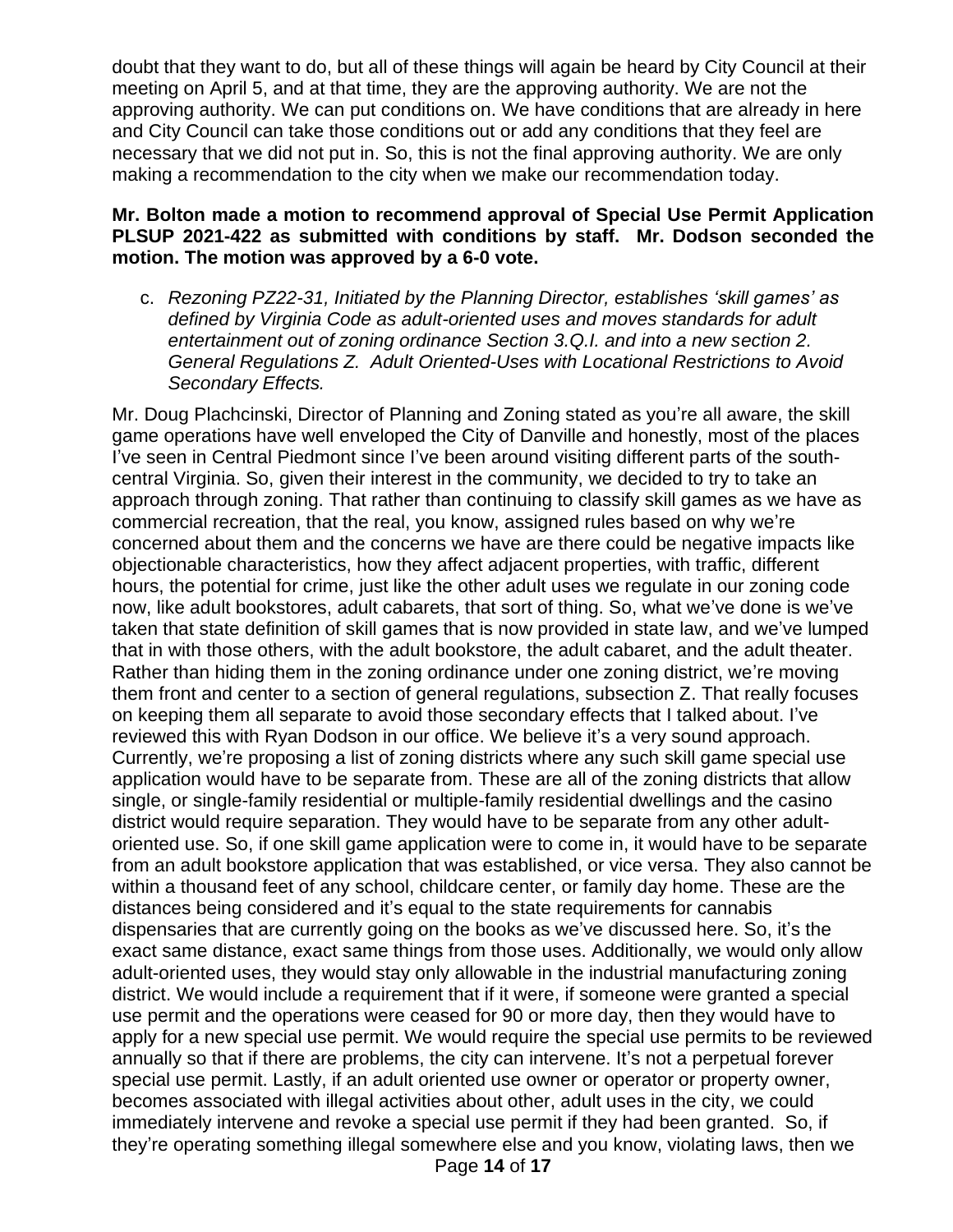doubt that they want to do, but all of these things will again be heard by City Council at their meeting on April 5, and at that time, they are the approving authority. We are not the approving authority. We can put conditions on. We have conditions that are already in here and City Council can take those conditions out or add any conditions that they feel are necessary that we did not put in. So, this is not the final approving authority. We are only making a recommendation to the city when we make our recommendation today.

## **Mr. Bolton made a motion to recommend approval of Special Use Permit Application PLSUP 2021-422 as submitted with conditions by staff. Mr. Dodson seconded the motion. The motion was approved by a 6-0 vote.**

c. *Rezoning PZ22-31, Initiated by the Planning Director, establishes 'skill games' as defined by Virginia Code as adult-oriented uses and moves standards for adult entertainment out of zoning ordinance Section 3.Q.I. and into a new section 2. General Regulations Z. Adult Oriented-Uses with Locational Restrictions to Avoid Secondary Effects.* 

Mr. Doug Plachcinski, Director of Planning and Zoning stated as you're all aware, the skill game operations have well enveloped the City of Danville and honestly, most of the places I've seen in Central Piedmont since I've been around visiting different parts of the southcentral Virginia. So, given their interest in the community, we decided to try to take an approach through zoning. That rather than continuing to classify skill games as we have as commercial recreation, that the real, you know, assigned rules based on why we're concerned about them and the concerns we have are there could be negative impacts like objectionable characteristics, how they affect adjacent properties, with traffic, different hours, the potential for crime, just like the other adult uses we regulate in our zoning code now, like adult bookstores, adult cabarets, that sort of thing. So, what we've done is we've taken that state definition of skill games that is now provided in state law, and we've lumped that in with those others, with the adult bookstore, the adult cabaret, and the adult theater. Rather than hiding them in the zoning ordinance under one zoning district, we're moving them front and center to a section of general regulations, subsection Z. That really focuses on keeping them all separate to avoid those secondary effects that I talked about. I've reviewed this with Ryan Dodson in our office. We believe it's a very sound approach. Currently, we're proposing a list of zoning districts where any such skill game special use application would have to be separate from. These are all of the zoning districts that allow single, or single-family residential or multiple-family residential dwellings and the casino district would require separation. They would have to be separate from any other adultoriented use. So, if one skill game application were to come in, it would have to be separate from an adult bookstore application that was established, or vice versa. They also cannot be within a thousand feet of any school, childcare center, or family day home. These are the distances being considered and it's equal to the state requirements for cannabis dispensaries that are currently going on the books as we've discussed here. So, it's the exact same distance, exact same things from those uses. Additionally, we would only allow adult-oriented uses, they would stay only allowable in the industrial manufacturing zoning district. We would include a requirement that if it were, if someone were granted a special use permit and the operations were ceased for 90 or more day, then they would have to apply for a new special use permit. We would require the special use permits to be reviewed annually so that if there are problems, the city can intervene. It's not a perpetual forever special use permit. Lastly, if an adult oriented use owner or operator or property owner, becomes associated with illegal activities about other, adult uses in the city, we could immediately intervene and revoke a special use permit if they had been granted. So, if they're operating something illegal somewhere else and you know, violating laws, then we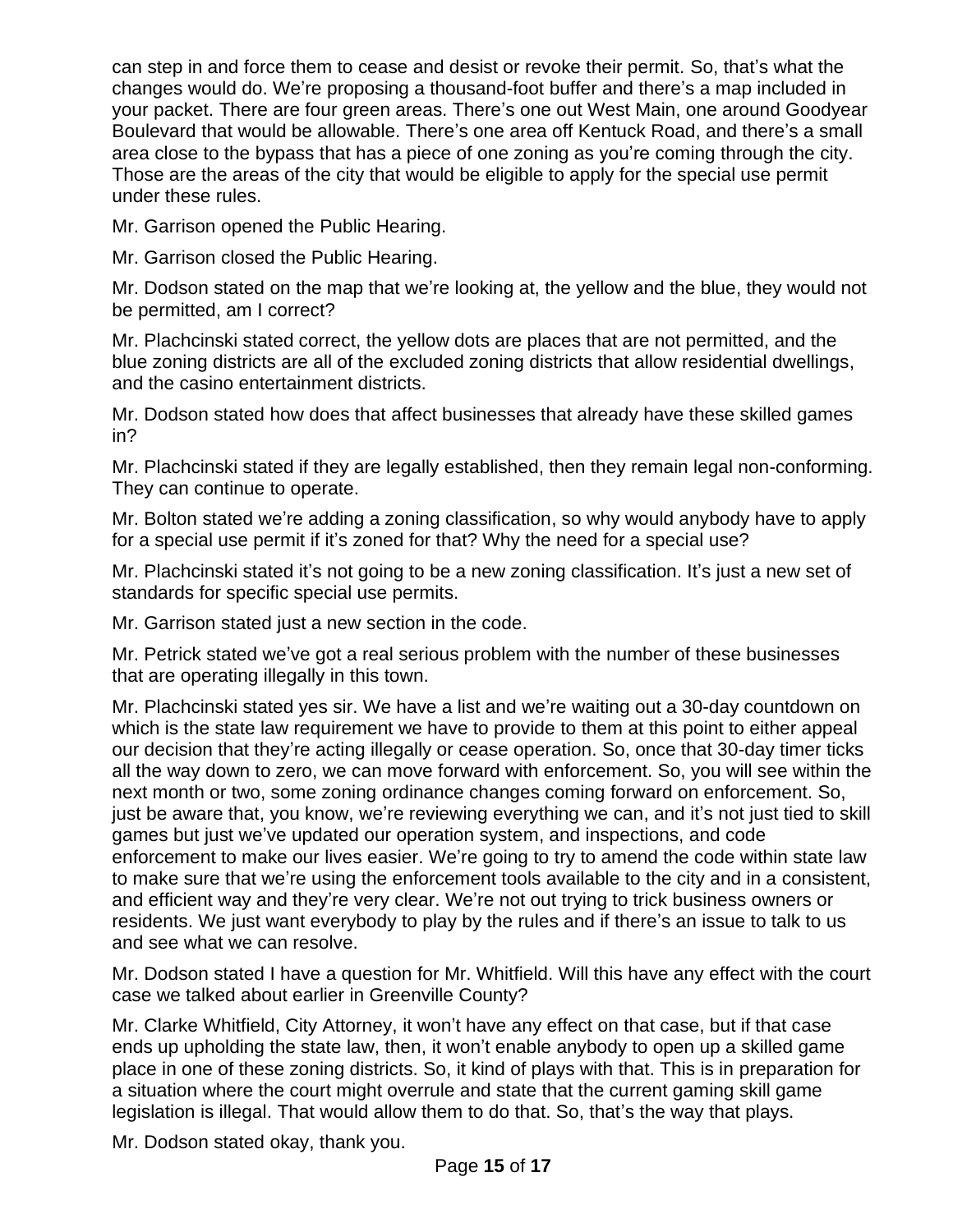can step in and force them to cease and desist or revoke their permit. So, that's what the changes would do. We're proposing a thousand-foot buffer and there's a map included in your packet. There are four green areas. There's one out West Main, one around Goodyear Boulevard that would be allowable. There's one area off Kentuck Road, and there's a small area close to the bypass that has a piece of one zoning as you're coming through the city. Those are the areas of the city that would be eligible to apply for the special use permit under these rules.

Mr. Garrison opened the Public Hearing.

Mr. Garrison closed the Public Hearing.

Mr. Dodson stated on the map that we're looking at, the yellow and the blue, they would not be permitted, am I correct?

Mr. Plachcinski stated correct, the yellow dots are places that are not permitted, and the blue zoning districts are all of the excluded zoning districts that allow residential dwellings, and the casino entertainment districts.

Mr. Dodson stated how does that affect businesses that already have these skilled games in?

Mr. Plachcinski stated if they are legally established, then they remain legal non-conforming. They can continue to operate.

Mr. Bolton stated we're adding a zoning classification, so why would anybody have to apply for a special use permit if it's zoned for that? Why the need for a special use?

Mr. Plachcinski stated it's not going to be a new zoning classification. It's just a new set of standards for specific special use permits.

Mr. Garrison stated just a new section in the code.

Mr. Petrick stated we've got a real serious problem with the number of these businesses that are operating illegally in this town.

Mr. Plachcinski stated yes sir. We have a list and we're waiting out a 30-day countdown on which is the state law requirement we have to provide to them at this point to either appeal our decision that they're acting illegally or cease operation. So, once that 30-day timer ticks all the way down to zero, we can move forward with enforcement. So, you will see within the next month or two, some zoning ordinance changes coming forward on enforcement. So, just be aware that, you know, we're reviewing everything we can, and it's not just tied to skill games but just we've updated our operation system, and inspections, and code enforcement to make our lives easier. We're going to try to amend the code within state law to make sure that we're using the enforcement tools available to the city and in a consistent, and efficient way and they're very clear. We're not out trying to trick business owners or residents. We just want everybody to play by the rules and if there's an issue to talk to us and see what we can resolve.

Mr. Dodson stated I have a question for Mr. Whitfield. Will this have any effect with the court case we talked about earlier in Greenville County?

Mr. Clarke Whitfield, City Attorney, it won't have any effect on that case, but if that case ends up upholding the state law, then, it won't enable anybody to open up a skilled game place in one of these zoning districts. So, it kind of plays with that. This is in preparation for a situation where the court might overrule and state that the current gaming skill game legislation is illegal. That would allow them to do that. So, that's the way that plays.

Mr. Dodson stated okay, thank you.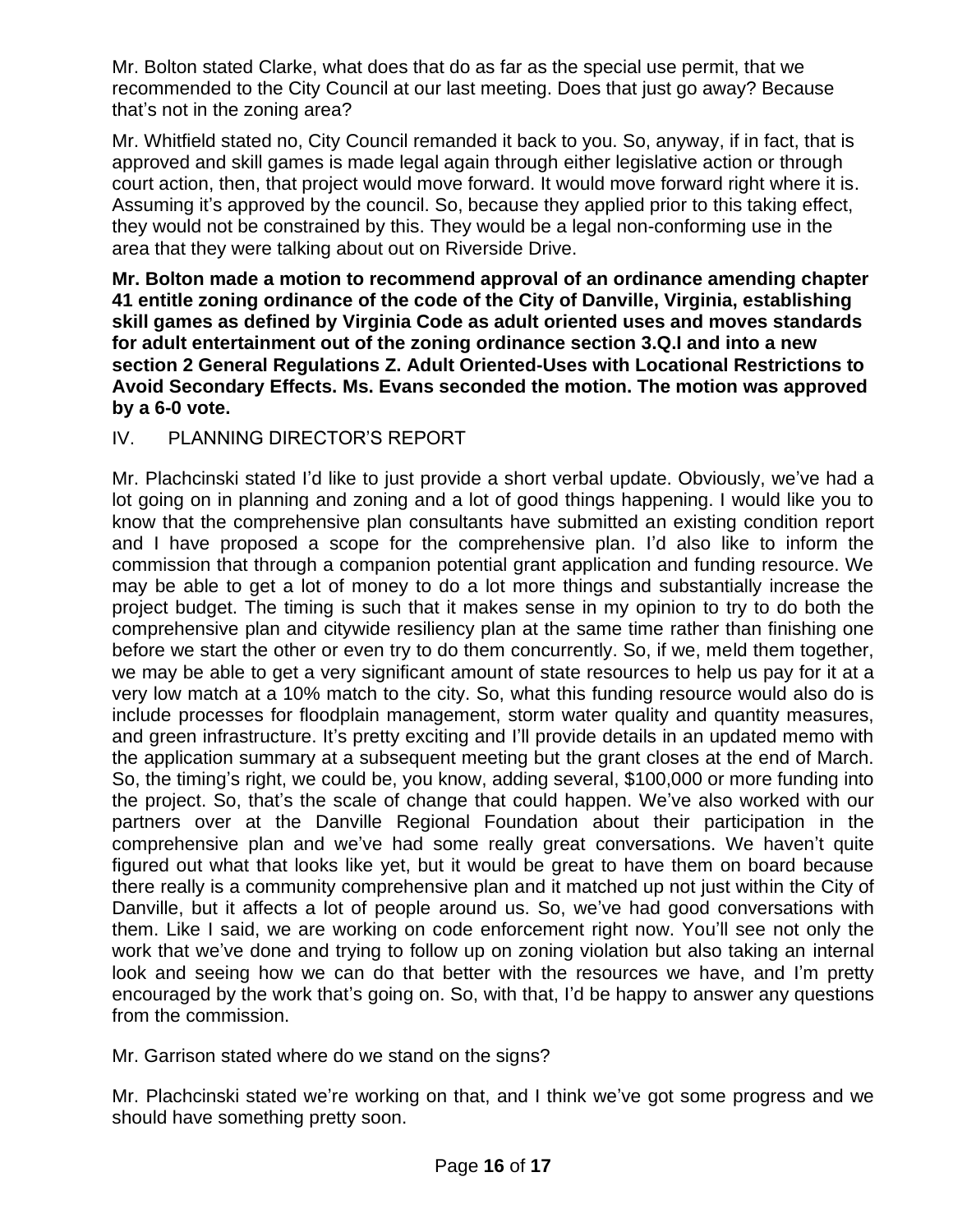Mr. Bolton stated Clarke, what does that do as far as the special use permit, that we recommended to the City Council at our last meeting. Does that just go away? Because that's not in the zoning area?

Mr. Whitfield stated no, City Council remanded it back to you. So, anyway, if in fact, that is approved and skill games is made legal again through either legislative action or through court action, then, that project would move forward. It would move forward right where it is. Assuming it's approved by the council. So, because they applied prior to this taking effect, they would not be constrained by this. They would be a legal non-conforming use in the area that they were talking about out on Riverside Drive.

**Mr. Bolton made a motion to recommend approval of an ordinance amending chapter 41 entitle zoning ordinance of the code of the City of Danville, Virginia, establishing skill games as defined by Virginia Code as adult oriented uses and moves standards for adult entertainment out of the zoning ordinance section 3.Q.I and into a new section 2 General Regulations Z. Adult Oriented-Uses with Locational Restrictions to Avoid Secondary Effects. Ms. Evans seconded the motion. The motion was approved by a 6-0 vote.** 

# IV. PLANNING DIRECTOR'S REPORT

Mr. Plachcinski stated I'd like to just provide a short verbal update. Obviously, we've had a lot going on in planning and zoning and a lot of good things happening. I would like you to know that the comprehensive plan consultants have submitted an existing condition report and I have proposed a scope for the comprehensive plan. I'd also like to inform the commission that through a companion potential grant application and funding resource. We may be able to get a lot of money to do a lot more things and substantially increase the project budget. The timing is such that it makes sense in my opinion to try to do both the comprehensive plan and citywide resiliency plan at the same time rather than finishing one before we start the other or even try to do them concurrently. So, if we, meld them together, we may be able to get a very significant amount of state resources to help us pay for it at a very low match at a 10% match to the city. So, what this funding resource would also do is include processes for floodplain management, storm water quality and quantity measures, and green infrastructure. It's pretty exciting and I'll provide details in an updated memo with the application summary at a subsequent meeting but the grant closes at the end of March. So, the timing's right, we could be, you know, adding several, \$100,000 or more funding into the project. So, that's the scale of change that could happen. We've also worked with our partners over at the Danville Regional Foundation about their participation in the comprehensive plan and we've had some really great conversations. We haven't quite figured out what that looks like yet, but it would be great to have them on board because there really is a community comprehensive plan and it matched up not just within the City of Danville, but it affects a lot of people around us. So, we've had good conversations with them. Like I said, we are working on code enforcement right now. You'll see not only the work that we've done and trying to follow up on zoning violation but also taking an internal look and seeing how we can do that better with the resources we have, and I'm pretty encouraged by the work that's going on. So, with that, I'd be happy to answer any questions from the commission.

Mr. Garrison stated where do we stand on the signs?

Mr. Plachcinski stated we're working on that, and I think we've got some progress and we should have something pretty soon.